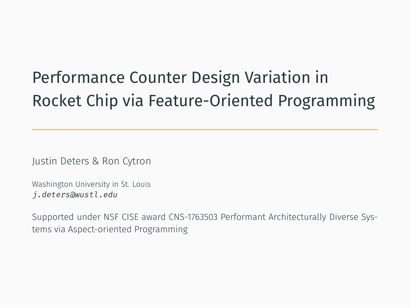# Performance Counter Design Variation in Rocket Chip via Feature-Oriented Programming

Justin Deters & Ron Cytron

Washington University in St. Louis *j.deters@wustl.edu*

Supported under NSF CISE award CNS-1763503 Performant Architecturally Diverse Systems via Aspect-oriented Programming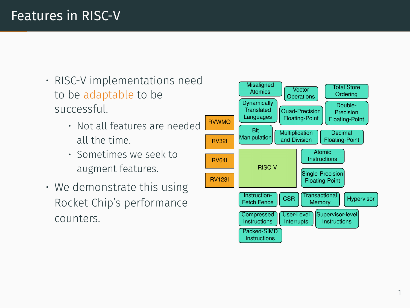## Features in RISC-V

- RISC-V implementations need to be adaptable to be successful.
	- Not all features are needed all the time.
	- Sometimes we seek to augment features.
- We demonstrate this using Rocket Chip's performance counters.

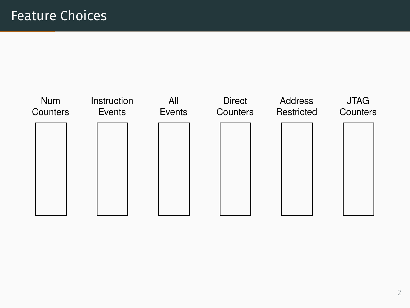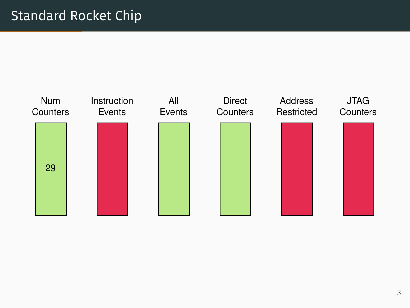## Standard Rocket Chip

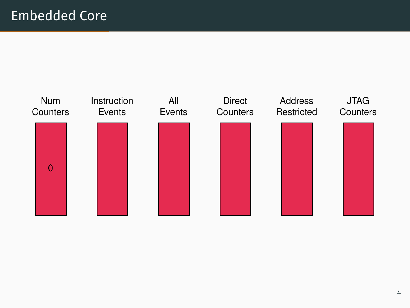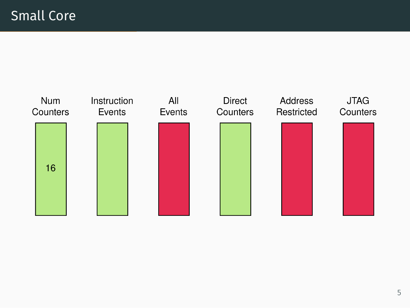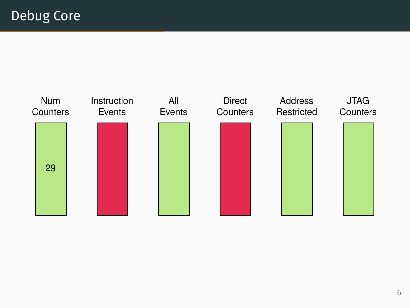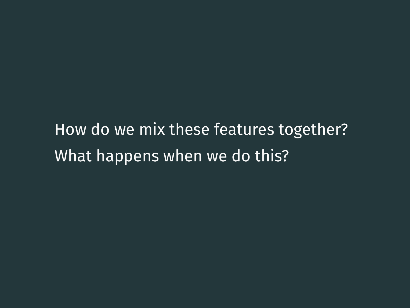• How do we mix these features together? What happens when we do this?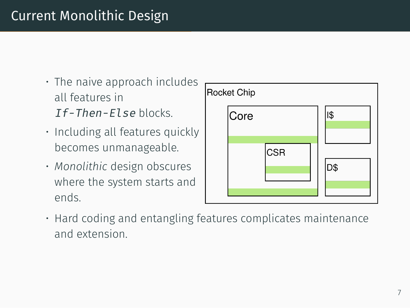## Current Monolithic Design

- The naive approach includes all features in *If-Then-Else* blocks.
- Including all features quickly becomes unmanageable.
- *Monolithic* design obscures where the system starts and ends.



• Hard coding and entangling features complicates maintenance and extension.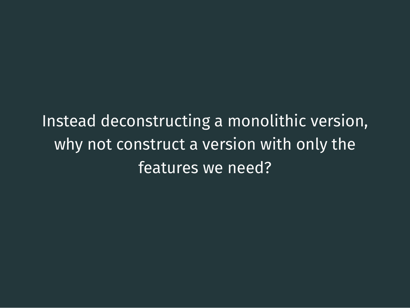Instead deconstructing a monolithic version, why not construct a version with only the features we need?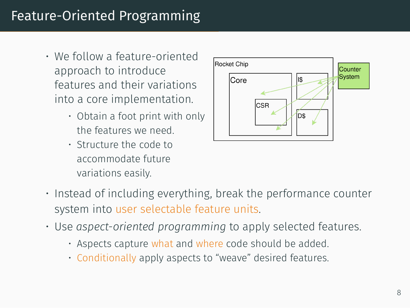# Feature-Oriented Programming

- We follow a feature-oriented approach to introduce features and their variations into a core implementation.
	- Obtain a foot print with only the features we need.
	- Structure the code to accommodate future variations easily.



- Instead of including everything, break the performance counter system into user selectable feature units.
- Use *aspect-oriented programming* to apply selected features.
	- Aspects capture what and where code should be added.
	- Conditionally apply aspects to "weave" desired features.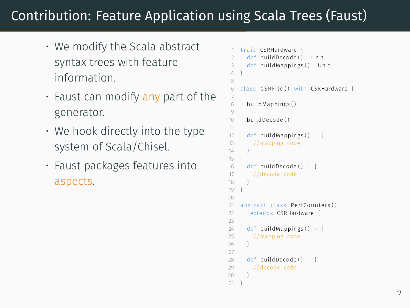# Contribution: Feature Application using Scala Trees (Faust)

- We modify the Scala abstract syntax trees with feature information.
- $\cdot$  Faust can modify any part of the generator.
- We hook directly into the type system of Scala/Chisel.
- Faust packages features into aspects.

```
trait CSRHardware
      def buildDecode () : Unit
      def buildMappings () : Unit
 \sqrt{4}5
    class CSRFile () with CSRHardware {
7
      8 buildMappings ( )
\alpha10 buildDecode ( )
11
12 def buildMappings () = {<br>13 1/\text{maning code}//mapping code
1/415
16 def buildDecode () = {
17 //decode code
18 }
19 }
20
21 abstract class PerfCounters ()
22 extends CSRHardware {
23
24 def build Mappings () = {
25 //mapping code
2627
28 def buildDecode () = {
29 //decode code
30 }
31 }
```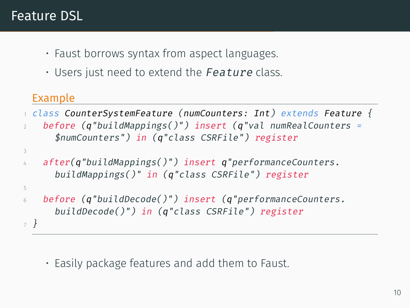### Feature DSL

- Faust borrows syntax from aspect languages.
- Users just need to extend the *Feature* class.

#### Example

3

5

- <sup>1</sup> *class CounterSystemFeature (numCounters: Int) extends Feature {*
- <sup>2</sup> *before (q"buildMappings()") insert (q"val numRealCounters = \$numCounters") in (q"class CSRFile") register*
- <sup>4</sup> *after(q"buildMappings()") insert q"performanceCounters. buildMappings()" in (q"class CSRFile") register*
- <sup>6</sup> *before (q"buildDecode()") insert (q"performanceCounters. buildDecode()") in (q"class CSRFile") register* <sup>7</sup> *}*
	- Easily package features and add them to Faust.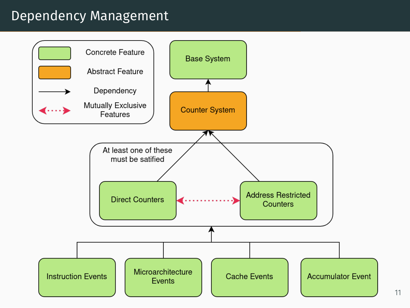#### Dependency Management

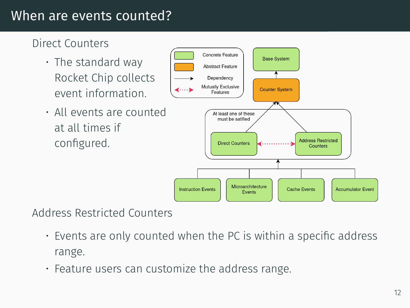## When are events counted?

#### Direct Counters

- The standard way Rocket Chip collects event information.
- All events are counted at all times if configured.



#### Address Restricted Counters

- Events are only counted when the PC is within a specific address range.
- Feature users can customize the address range.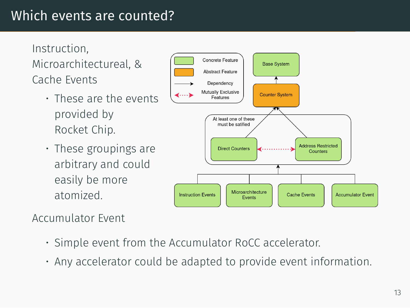## Which events are counted?

Instruction, Microarchitectureal, & Cache Events

- These are the events provided by Rocket Chip.
- These groupings are arbitrary and could easily be more atomized.



Accumulator Event

- Simple event from the Accumulator RoCC accelerator.
- Any accelerator could be adapted to provide event information.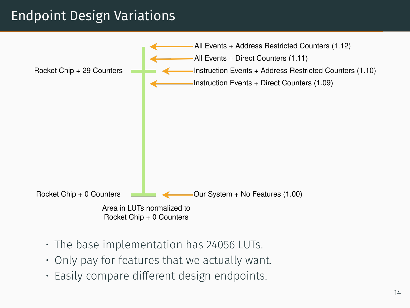## Endpoint Design Variations



- The base implementation has 24056 LUTs.
- Only pay for features that we actually want.
- Easily compare different design endpoints.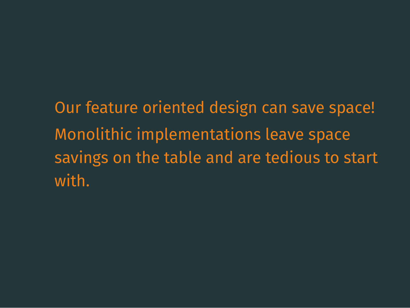• Our feature oriented design can save space! • Monolithic implementations leave space savings on the table and are tedious to start with.